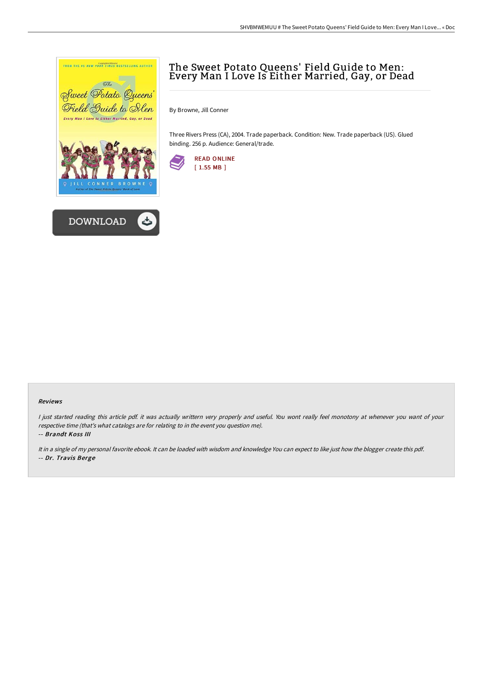



# The Sweet Potato Queens' Field Guide to Men: Every Man I Love Is Either Married, Gay, or Dead

By Browne, Jill Conner

Three Rivers Press (CA), 2004. Trade paperback. Condition: New. Trade paperback (US). Glued binding. 256 p. Audience: General/trade.



#### Reviews

<sup>I</sup> just started reading this article pdf. it was actually writtern very properly and useful. You wont really feel monotony at whenever you want of your respective time (that's what catalogs are for relating to in the event you question me).

-- Brandt Koss III

It in <sup>a</sup> single of my personal favorite ebook. It can be loaded with wisdom and knowledge You can expect to like just how the blogger create this pdf. -- Dr. Travis Berge